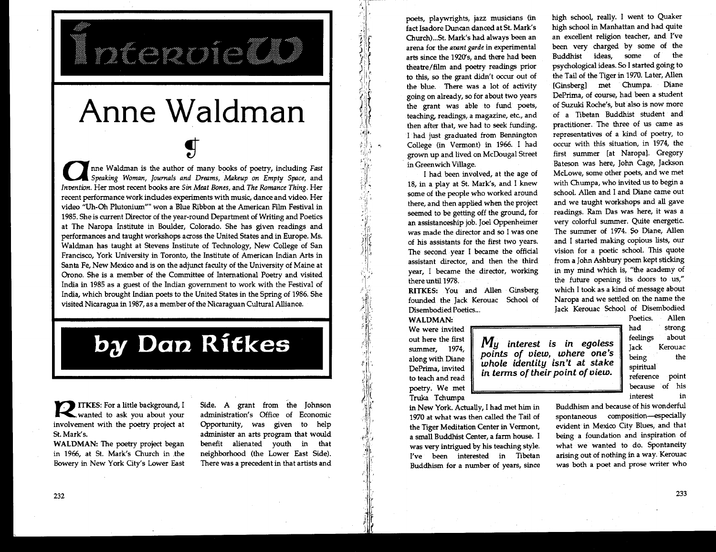## **Anne Waldman**

inceanón

**and Speaking Woman**, Journals and Dreams, Makeup on Empty Space, and *Invention*. Her most recent books are *Sin Meat Bones*, and *The Romance Thing*. Her *Speaking Woman, Journals and Dreams, Makeup on Empty Space,* and recent performance work indudes experiments with music, dance and video. Her video "Uh-Oh Plutonium" won a Blue Ribbon at the American Film Festival in 1985. She is current Director of the year-round Department of Writing and Poetics at The Naropa Institute in Boulder, Colorado. She has given readings and performances and taught workshops across the United States and in Europe. Ms. Waldman has taught at Stevens Institute of Technology, New College of San Francisco, York University in Toronto, the Institute of American Indian Arts in Santa Fe, New Mexico and is on the adjunct faculty of the University of Maine at Orono. She is a member of the Committee of International Poetry and visited India in 1985 as a guest of the Indian government to work with the Festival of India, which brought Indian poets to the United States in the Spring of 1986. She visited Nicaragua in 1987, as a member of the Nicaraguan Cultural Alliance.

## **by Dan Ritkes**

**rank ITKES:** For a little background, I involvement with the poetry project at St. Mark's.

**WALDMAN:** The poetry project began in 1966, at St. Mark's Church in .the Bowery in New York City's Lower East Side. A grant from the Johnson administration's Office of Economic Opportunity, was given to help administer an arts program that would benefit alienated youth in that neighborhood (the Lower East Side). There was a precedent in that artists and poets, playwrights, jazz musicians (in fact Isadore Duncan danced at St. Mark's Church)...St. Mark's had always been an arena for the avant *garde* in experimental arts since the 1920's, and there had been theatre/film and poetry readings prior to this, so the grant didn't occur out of the blue. There was a lot of activity going on already, so for about two years the grant was able to fund poets, teaching, readings, a magazine, etc., and then after that, we had to seek funding. I had just graduated from Bennington College (in Vermont) in 1966. I had grown up and lived on McDougal Street in Greenwich Village.

I had been involved, at the age of 18, in a play at St. Mark's, and I knew some of the people who worked around there, and then applied when the project seemed to be getting off the ground, for an assistanceship job. Joel Oppenheimer was made the director and so I was one of his assistants for the first two years. The second year I became the official assistant director, and then the third year, I became the director, working there until 1978.

**RITKES:** You and Allen Ginsberg founded the Jack Kerouac School of Disembodied Poetics...

**WALDMAN:**  We were invited out here the first

5.

summer, 1974, along with Diane DePrima, invited to teach and read poetry. We met Truka Tchumpa

in New York. Actually, I had met him in 1970 at what was then called the Tail of the Tiger Meditation Center in Vermont, a small Buddhist Center, a farm house. I was very intrigued by his teaching style. I've been interested in Tibetan Buddhism for a number of years, since high school, really. I went to Quaker high school in Manhattan and had quite an excellent religion teacher, and I've been very charged by some of the Buddhist ideas, some of the psychological ideas. So I started going to the Tail of the Tiger in 1970. Later, Allen [Ginsberg] met Chumpa. Diane DePrima, of course, had been a student of Suzuki Roche's, but also is now more of a Tibetan Buddhist student and practitioner. The three of us came as representatives of a kind of poetry, to occur with this situation, in 1974, the first summer [at Naropa]. Gregory Bateson was here, John Cage, Jackson McLowe, some other poets, and we met with Chumpa, who invited us to begin a school. Allen and I and Diane came out and we taught workshops and all gave readings. Ram Das was here, it was a very colorful summer. Quite energetic. The summer of 1974. So Diane, Allen and I started making copious lists, our vision for a poetic school. This quote from a John Ashbury poem kept sticking in my mind which is, "the academy of the future opening its doors to us," which I took as a kind of message about Naropa and we settled on the name the Jack Kerouac School of Disembodied

*M<sub>u</sub>* interest is in egoless *points of view, where one's whole identity isn't at stake in terms of their point of view.* 

Poetics. Allen had strong feelings about Jack Kerouac being the spiritual reference point because of his interest in

Buddhism and because of his wonderful spontaneous composition—especially evident in Mexico City Blues, and that being a foundation and inspiration of what we wanted to do. Spontaneity arising out of nothing in a way. Kerouac was both a poet and prose writer who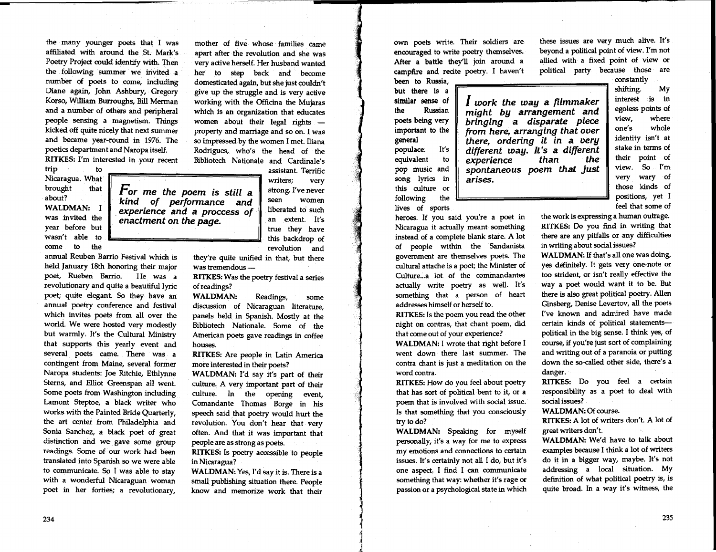the many younger poets that I was affiliated with around the St. Mark's Poetry Project could identify with. Then the following summer we invited a number of poets to come, including Diane again, John Ashbury, Gregory Korso, William Burroughs, Bill Merman and a number of others and peripheral people sensing a magnetism. Things kicked off quite nicely that next summer and became year-round in 1976. The poetics department and Naropa itself. **RITKES:** I'm interested in your recent

trip to Nicaragua. What brought that about?

**WALDMAN: I**  was invited the year before but wasn't able to come to the

annual Reuben Barrio Festival which is held January 18th honoring their major poet, Rueben Barrio. He was a revolutionary and quite a beautiful lyric poet; quite elegant. So they have an annual poetry conference and festival which invites poets from all over the world. We were hosted very modestly but warmly. It's the Cultural Ministry that supports this yearly event and several poets came. There was a contingent from Maine, several former Naropa students: Joe Ritchie, Ethlynne Sterns, and Elliot Greenspan all went. Some poets from Washington including Lamont Steptoe, a black writer who works with the Painted Bride Quarterly, the art center from Philadelphia and Sonia Sanchez, a black poet of great distinction and we gave some group readings. Some of our work had been translated into Spanish so we were able to communicate. So I was able to stay with a wonderful Nicaraguan woman poet in her forties; a revolutionary,

mother of five whose families came apart after the revolution and she was very active herself. Her husband wanted her to step back and become domesticated again, but she just couldn't give up the struggle and is very active working with the Officina the Mujaras which is an organization that educates women about their legal rights property and marriage and so on. I was so impressed by the women I met. Iliana Rodrigues, who's the head of the Bibliotech Nationale and Cardinale's

> assistant. Terrific writers; very strong. I've never seen women liberated to such an extent. It's true they have this backdrop of revolution and

they're quite unified in that, but there was tremendous **—** 

*For me the poem is still a kind of performance and experience and a proccess of* 

*enactment on the page.* 

**RITKES:** Was the poetry festival a series of readings?

**WALDMAN:** Readings, some discussion of Nicaraguan literature, panels held in Spanish. Mostly at the Bibliotech Nationale. Some of the American poets gave readings in coffee houses.

**RITKES:** Are people in Latin America more interested in their poets?

**WALDMAN:** I'd say it's part of their culture. A very important part of their culture. In the opening event, Comandante Thomas Borge in his speech said that poetry would hurt the revolution. You don't hear that very often. And that it was important that people are as strong as poets.

**RITKES:** Is poetry accessible to people in Nicaragua?

**WALDMAN:** Yes, I'd say it is. There is a small publishing situation there. People know and memorize work that their own poets write. Their soldiers are encouraged to write poetry themselves. After a battle they'll join around a campfire and recite poetry. I haven't

been to Russia, but there is a similar sense of the Russian poets being very important to the general populace. It's equivalent to pop music and song lyrics in this culture or following the lives of sports

heroes. If you said you're a poet in Nicaragua it actually meant something instead of a complete blank stare. A lot of people within the Sandanista government are themselves poets. The cultural attache is a poet; the Minister of Culture...a lot of the commandantes actually write poetry as well. It's something that a person of heart addresses himself or herself to.

**RITKES:** Is the poem you read the other night on contras, that chant poem, did that come out of your experience?

**WALDMAN:** I wrote that right before I went down there last summer. The contra chant is just a meditation on the word contra.

**RITKES:** How do you feel about poetry that has sort of political bent to it, or a poem that is involved with social issue. Is that something that you consciously try to do?

**WALDMAN:** Speaking for myself personally, it's a way for me to express my emotions and connections to certain issues. It's certainly not all I do, but it's one aspect. I find I can communicate something that way: whether it's rage or passion or a psychological state in which these issues are very much alive. It's beyond a political point of view. I'm not allied with a fixed point of view or political party because those are

*I work the way a filmmaker might by arrangement and bringing a disparate piece from here, arranging that over there, ordering it in a very different way. It's a different*   $$ *spontaneous poem that just arises.* 

constantly shifting. My interest is in egoless points of view, where one's whole identity isn't at stake in terms of their point of view. So I'm very wary of those kinds of positions, yet I feel that some of

the work is expressing a human outrage. **RITKES:** Do you find in writing that there are any pitfalls or any difficulties in writing about social issues?

**WALDMAN:** If that's all one was doing, yes definitely. It gets very one-note or too strident, or isn't really effective the way a poet would want it to be. But there is also great political poetry. Allen Ginsberg, Denise Levertov, all the poets I've known and admired have made certain kinds of political statements political in the big sense. I think yes, of course, if you're just sort of complaining and writing out of a paranoia or putting down the so-called other side, there's a danger.

**RITKES:** Do you feel a certain responsibility as a poet to deal with social issues?

**WALDMAN:** Of course.

**RITKES:** A lot of writers don't A lot of great writers don't.

**WALDMAN:** We'd have to talk about examples because I think a lot of writers do it in a bigger way, maybe. It's not addressing a local situation. My definition of what political poetry is, is quite broad. In a way it's witness, the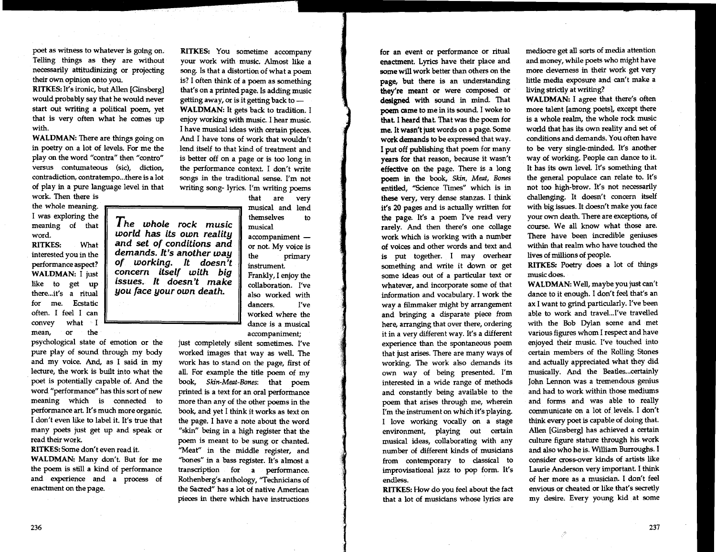poet as witness to whatever is going on. Telling things as they are without necessarily attitudinizing or projecting their own opinion onto you.

**RITKES:** It's ironic, but Allen [Ginsberg] would probably say that he would never start out writing a political poem, yet that is very often what he comes up with.

**WALDMAN: There** are things going on in poetry on a lot of levels. For me the play on the word "contra" then "contro" versus contumateous (sic), diction, contradiction, contratempo...there is a lot of play in a pure language level in that

work. Then there is the whole meaning. I was exploring the meaning of that **word.** 

**RITKES:** What interested you in the performance **aspect? WALDMAN: I** just like to get up there. ..it's a ritual for me. Ecstatic often. I feel I can convey what I mean, or the

psychological state of emotion or the pure play of sound through my body and my voice. And, as I said in my lecture, the work is built into what the poet is potentially capable of. And the word "performance" has this sort of new meaning which is connected to performance art. It's much more organic. I don't even like to label it. It's true that many poets just get up and speak or read their work.

**RITKES:** Some don't even read it. **WALDMAN:** Many don't. But for me the poem is still a kind of performance and experience and a process of enactment on the page.

*The whole rock music world has its own reality and set of conditions and demands. It's another way of working. It doesn't concern itself with big issues. It doesn't make you face your own death.* 

**RITKES:** You sometime accompany your work with music. Almost like a song. Is that a distortion of what a poem is? I often think of a poem as something that's on a printed page. Is adding music getting away, or is it getting back to **— WALDMAN:** It gets back to tradition. I enjoy working with music. I hear music. I have musical ideas with certain pieces. And I have tons of work that wouldn't lend itself to that kind of treatment and is better off on a page or is too long in the performance context. I don't write songs in the traditional sense. I'm not writing song- lyrics. I'm writing poems

that are very musical and lend themselves to musical

accompaniment or not. My voice is the primary instrument. Frankly, I enjoy the

collaboration. I've also worked with dancers. I've worked where the dance is a musical accompaniment;

just completely silent sometimes. I've worked images that way as well. The work has to stand on the page, first of all. For example the title poem of my book, *Skin-Meat-Bones:* that poem printed is a text for an oral performance more than any of the other poems in the book, and yet I think it works as text on the page. I have a note about the word "skin" being in a high register that the poem is meant to be sung or chanted. "Meat" in the middle register, and "bones" in a bass register. It's almost a transcription for a performance. Rothenbaz's anthology, "Technicians of the Sacred" has a lot of native American pieces in there which have instructions

for an event or performance or ritual **enactment. Lyrics** have their place **and some will work better than others on the page, but there is an understanding they're meant or were composed or designed with sound in mind. That poem came to me in its sound. I woke to that. I heard that. That was the poem for me. It wasn't just words on a page. Some work demands to be expressed that way. I put off publishing that poem for many years for that reason, because it wasn't effective on the page. There is a long poem in the book,** *Skin, Meat, Bones*  **entitled, "Science Times" which is in these very, very dense stanzas. I think it's 20 pages and is actually written for the page. It's a poem I've read very rarely. And then there's one collage work which is working with a number of voices and other words and text and is put together. I may overhear something and write it down or get some ideas out of a particular text or whatever, and incorporate some of that information and vocabulary. I work the way a filmmaker might by arrangement and bringing a disparate piece from here, arranging that over there, ordering it in a very different way. It's a different experience than the spontaneous poem that just arises. There are many ways of working. The work also demands its own way of being presented. I'm interested in a wide range of methods and constantly being available to the poem that arises through me, wherein I'm the instrument on which it's playing. I love working vocally on a stage environment, playing out certain musical ideas, collaborating with any number of different kinds of musicians from contemporary to dassical to improvisational jazz to pop form. It's endless.** 

**RITKES: How do you feel about the fact that a lot of musicians whose lyrics are**  **mediocre get all sorts of media attention and money, while poets who might have more cleverness in their work get very little media exposure and can't make a living strictly at writing?** 

**WALDMAN: I agree that** there's often more talent [among poets], except there is a whole realm, the whole rock music world that has its own reality and set of conditions and demands. You often have to be very single-minded. It's another way of working. People can dance to it. It has its own level. It's something that the general populace can relate to. It's not too high-brow. It's not necessarily challenging. It doesn't concern itself with big issues. It doesn't make you face your own death. There are exceptions, of course. We all know what those are. There have been incredible geniuses within that realm who have touched the lives of millions of **people.** 

**RITKES:** Poetry does a lot of things music does.

**WALDMAN: Well, maybe you just can't dance to it enough. I don't feel that's an ax I want to grind particularly. I've been able to work and travel...I've travelled with the Bob Dylan scene and met various figures whom I respect and have enjoyed their music. I've touched into certain members of the Rolling Stones and actually appreciated what they did musically. And the Beatles...certainly John Lennon was a tremendous genius and had to work within those mediums and forms and was able to really communicate on a lot of levels. I don't think every poet is capable of doing that. Allen [Ginsberg] has achieved a certain culture figure stature through his work and also who he is. William Burroughs. I consider cross-over kinds of artists like Laurie Anderson very important. I think of her more as a musician. I don't feel envious or cheated or like that's secretly my desire. Every young kid at some**